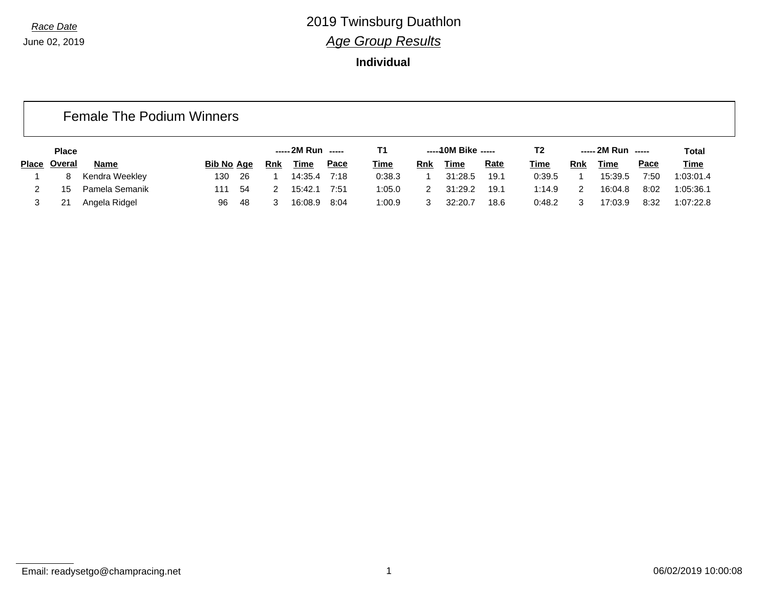**Individual**

### Female The Podium Winners

|       | <b>Place</b><br><b>Bib No Age</b> |                |     |     | ----- 2M Run ----- |             |             |             | -----10M Bike ----- |             | T2   |        | ----- 2M Run ----- |             | <b>Total</b> |             |
|-------|-----------------------------------|----------------|-----|-----|--------------------|-------------|-------------|-------------|---------------------|-------------|------|--------|--------------------|-------------|--------------|-------------|
| Place | Overal                            | <b>Name</b>    |     |     | Rnk                | <b>Time</b> | <b>Pace</b> | <b>Time</b> | Rnk                 | <b>Time</b> | Rate | Time   | <b>Rnk</b>         | <b>Time</b> | <u>Pace</u>  | <b>Time</b> |
|       | 8                                 | Kendra Weekley | 130 | 26  |                    | 14:35.4     | 7:18        | 0:38.3      |                     | 31:28.5     | 19.1 | 0:39.5 |                    | 15:39.5     | 7:50         | 1:03:01.4   |
|       | 15                                | Pamela Semanik | 111 | 54  |                    | 15:42.1     | 7:51        | :05.0       |                     | 31:29.2     | 19.1 | 1:14.9 | ◠                  | 16:04.8     | 8:02         | 1:05:36.1   |
|       |                                   | Angela Ridgel  | 96  | -48 |                    | 16:08.9     | 8:04        | 1:00.9      |                     | 32:20.7     | 18.6 | 0:48.2 | ົ                  | 7:03.9      | 8:32         | 1:07:22.8   |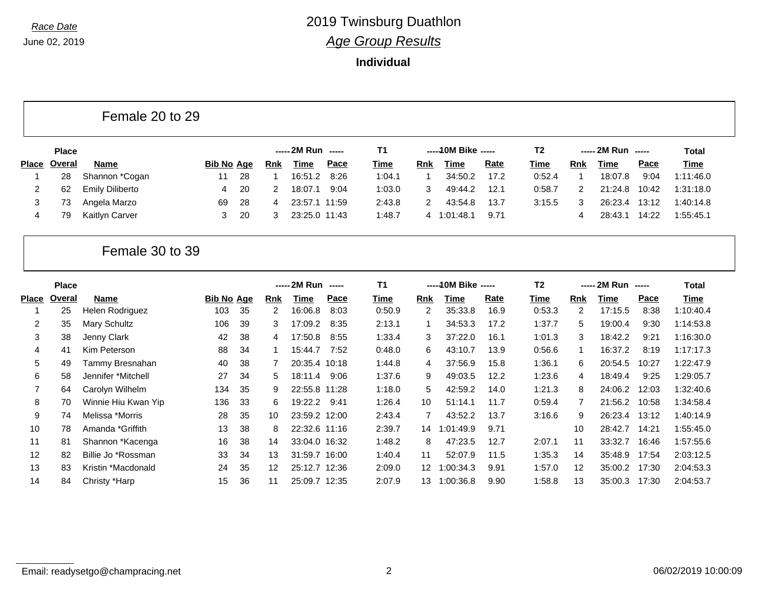### **Individual**

Female 20 to 29

|              | <b>Place</b> |                        |                   |      |            | ----- 2M Run ----- |             | Τ1          |     | $---10M$ Bike $---$ |             | T2          |     | $--- 2M Run$ $---$ |       | <b>Total</b> |
|--------------|--------------|------------------------|-------------------|------|------------|--------------------|-------------|-------------|-----|---------------------|-------------|-------------|-----|--------------------|-------|--------------|
| <b>Place</b> | Overal       | <b>Name</b>            | <b>Bib No Age</b> |      | <b>Rnk</b> | Time               | <u>Pace</u> | <u>Time</u> | Rnk | Time                | <b>Rate</b> | <b>Time</b> | Rnk | <b>Time</b>        | Pace  | <u>Time</u>  |
|              | 28           | Shannon *Cogan         | 11                | -28  |            | 16:51.2            | 8:26        | 1:04.1      |     | 34:50.2             | 17.2        | 0:52.4      |     | 18:07.8            | 9:04  | 1:11:46.0    |
|              | 62           | <b>Emily Diliberto</b> |                   | - 20 |            | 18:07.1            | 9:04        | 1:03.0      |     | 49:44.2             | 12.1        | 0:58.7      |     | 21:24.8            | 10:42 | 1:31:18.0    |
|              | ں ،          | Angela Marzo           | 69                | -28  |            | 23:57.1 11:59      |             | 2:43.8      |     | 43:54.8             | 13.7        | 3:15.5      |     | 26:23.4            | 13:12 | 1:40:14.8    |
| 4            | 79           | Kaitlyn Carver         |                   | -20  |            | 23:25.0 11:43      |             | 1:48.7      | 4   | 1:01:48.1           | 9.71        |             |     | 28:43.1            | 14:22 | 1:55:45.1    |

### Female 30 to 39

|       | <b>Place</b> |                     |                   |    |            | ----- 2M Run ----- |      | T <sub>1</sub> |                 | ----- 10M Bike ----- |      | T <sub>2</sub> |     | ----- 2M Run ----- |       | Total     |
|-------|--------------|---------------------|-------------------|----|------------|--------------------|------|----------------|-----------------|----------------------|------|----------------|-----|--------------------|-------|-----------|
| Place | Overal       | Name                | <b>Bib No Age</b> |    | <b>Rnk</b> | Time               | Pace | Time           | <b>Rnk</b>      | Time                 | Rate | Time           | Rnk | Time               | Pace  | Time      |
|       | 25           | Helen Rodriguez     | 103               | 35 | 2          | 16:06.8            | 8:03 | 0:50.9         | 2               | 35:33.8              | 16.9 | 0:53.3         | 2   | 17:15.5            | 8:38  | 1:10:40.4 |
| 2     | 35           | Mary Schultz        | 106               | 39 | 3          | 17:09.2            | 8:35 | 2:13.1         |                 | 34:53.3              | 17.2 | 1:37.7         | 5   | 19:00.4            | 9:30  | 1:14:53.8 |
| 3     | 38           | Jenny Clark         | 42                | 38 | 4          | 17:50.8            | 8:55 | 1:33.4         | 3               | 37:22.0              | 16.1 | 1:01.3         | 3   | 18:42.2            | 9:21  | 1:16:30.0 |
| 4     | 41           | Kim Peterson        | 88                | 34 |            | 15:44.7            | 7:52 | 0:48.0         | 6               | 43:10.7              | 13.9 | 0:56.6         | 1   | 16:37.2            | 8:19  | 1:17:17.3 |
| 5     | 49           | Tammy Bresnahan     | 40                | 38 |            | 20:35.4 10:18      |      | 1:44.8         | 4               | 37:56.9              | 15.8 | 1:36.1         | 6   | 20:54.5            | 10:27 | 1:22:47.9 |
| 6     | 58           | Jennifer *Mitchell  | 27                | 34 | 5.         | 18:11.4            | 9:06 | 1:37.6         | 9               | 49:03.5              | 12.2 | 1:23.6         | 4   | 18:49.4            | 9:25  | 1:29:05.7 |
| 7     | 64           | Carolyn Wilhelm     | 134               | 35 | 9          | 22:55.8 11:28      |      | 1:18.0         | 5.              | 42:59.2              | 14.0 | 1:21.3         | 8   | 24:06.2            | 12:03 | 1:32:40.6 |
| 8     | 70           | Winnie Hiu Kwan Yip | 136               | 33 | 6          | 19:22.2            | 9:41 | 1:26.4         | 10              | 51:14.1              | 11.7 | 0:59.4         | 7   | 21:56.2            | 10:58 | 1:34:58.4 |
| 9     | 74           | Melissa *Morris     | 28                | 35 | 10         | 23:59.2 12:00      |      | 2:43.4         |                 | 43:52.2              | 13.7 | 3:16.6         | 9   | 26:23.4            | 13:12 | 1:40:14.9 |
| 10    | 78           | Amanda *Griffith    | 13                | 38 | 8          | 22:32.6 11:16      |      | 2:39.7         | 14              | 1:01:49.9            | 9.71 |                | 10  | 28:42.7            | 14:21 | 1:55:45.0 |
| 11    | 81           | Shannon *Kacenga    | 16                | 38 | 14         | 33:04.0 16:32      |      | 1:48.2         | 8               | 47:23.5              | 12.7 | 2:07.1         | 11  | 33:32.7            | 16:46 | 1:57:55.6 |
| 12    | 82           | Billie Jo *Rossman  | 33                | 34 | 13         | 31:59.7 16:00      |      | 1:40.4         | 11              | 52:07.9              | 11.5 | 1:35.3         | 14  | 35:48.9            | 17:54 | 2:03:12.5 |
| 13    | 83           | Kristin *Macdonald  | 24                | 35 | 12         | 25:12.7 12:36      |      | 2:09.0         | 12 <sup>°</sup> | 1:00:34.3            | 9.91 | 1:57.0         | 12  | 35:00.2            | 17:30 | 2:04:53.3 |
| 14    | 84           | Christy *Harp       | 15                | 36 | 11         | 25:09.7 12:35      |      | 2:07.9         | 13              | 1:00:36.8            | 9.90 | 1:58.8         | 13  | 35:00.3            | 17:30 | 2:04:53.7 |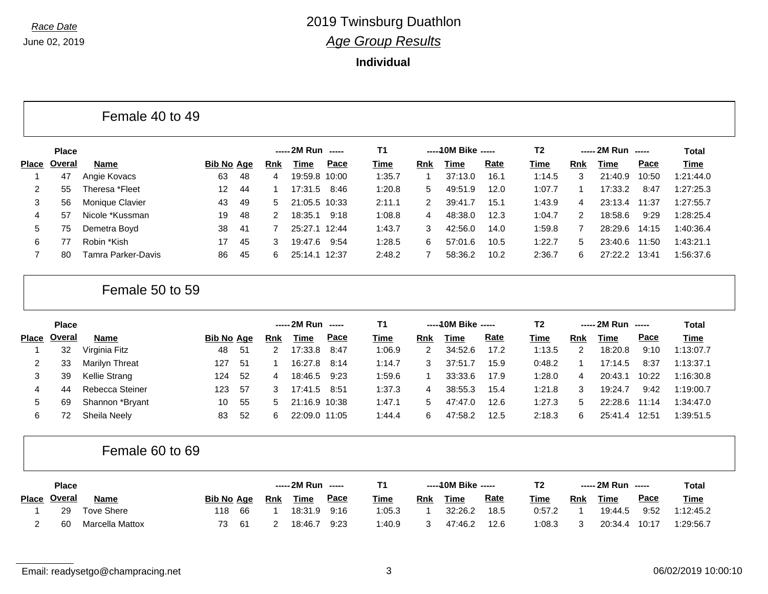**Individual**

| Female 40 to 49 |  |  |  |
|-----------------|--|--|--|
|-----------------|--|--|--|

|              | <b>Place</b> |                    |                   |     |            | $--- 2M Run$ $---$ |       | <b>T1</b> |     | -----10M Bike ----- |             | T2     |     | $--- 2M Run$ $---$ |       | Total       |
|--------------|--------------|--------------------|-------------------|-----|------------|--------------------|-------|-----------|-----|---------------------|-------------|--------|-----|--------------------|-------|-------------|
| <b>Place</b> | Overal       | <b>Name</b>        | <b>Bib No Age</b> |     | <b>Rnk</b> | Time               | Pace  | Time      | Rnk | Time                | <u>Rate</u> | Time   | Rnk | Time               | Pace  | <u>Time</u> |
|              | 47           | Angie Kovacs       | 63                | 48  | 4          | 19:59.8 10:00      |       | 1:35.7    |     | 37:13.0             | 16.1        | 1:14.5 |     | 21:40.9            | 10:50 | 1:21:44.0   |
|              | 55           | Theresa *Fleet     | 12                | -44 |            | 17:31.5            | 8:46  | 1:20.8    | 5.  | 49:51.9             | 12.0        | 1:07.7 |     | 17:33.2            | 8:47  | 1:27:25.3   |
| 3            | 56           | Monique Clavier    | 43                | -49 | 5.         | 21:05.5 10:33      |       | 2:11.1    | 2   | 39:41               | 15.1        | 1:43.9 | 4   | 23:13.4            | 11:37 | 1:27:55.7   |
| 4            | 57           | Nicole *Kussman    | 19                | -48 |            | 18:35.1            | 9:18  | 1:08.8    | 4   | 48:38.0             | 12.3        | 1:04.7 | 2   | 18:58.6            | 9:29  | 1:28:25.4   |
| 5            | 75           | Demetra Boyd       | 38                | -41 |            | 25:27.1 12:44      |       | 1:43.7    | З   | 42:56.0             | 14.0        | 1:59.8 |     | 28:29.6            | 14:15 | 1:40:36.4   |
| 6            |              | Robin *Kish        | 17                | 45  | 3          | 19:47.6            | 9:54  | 1:28.5    | 6   | 57:01.6             | 10.5        | 1:22.7 | 5   | 23:40.6            | 11:50 | 1:43:21.1   |
|              | 80           | Tamra Parker-Davis | 86                | -45 | 6.         | 25:14.1            | 12:37 | 2:48.2    |     | 58:36.2             | 10.2        | 2:36.7 | 6.  | 27:22.2            | 13:41 | 1:56:37.6   |

### Female 50 to 59

|              | <b>Place</b> |                 |                   |     | ----- 2M Run ----- |               |      | Τ1          |     | ----- 10M Bike ----- |      | Τ2          |     | $--- 2M Run$ $---$ |       | Total       |
|--------------|--------------|-----------------|-------------------|-----|--------------------|---------------|------|-------------|-----|----------------------|------|-------------|-----|--------------------|-------|-------------|
| <b>Place</b> | Overal       | <b>Name</b>     | <b>Bib No Age</b> |     | Rnk                | Time          | Pace | <u>Time</u> | Rnk | Time                 | Rate | <u>Time</u> | Rnk | Time               | Pace  | <b>Time</b> |
|              | 32           | Virginia Fitz   | 48                | -51 | 2                  | 17:33.8       | 8:47 | 1:06.9      | 2   | 34:52.6              | 17.2 | 1:13.5      | 2   | 18:20.8            | 9:10  | 1:13:07.7   |
|              | 33           | Marilyn Threat  | 127               | -51 |                    | 16:27.8       | 8:14 | 1:14.7      |     | 37:51                | 15.9 | 0:48.2      |     | 17:14.5            | 8:37  | 1:13:37.1   |
| 3            | 39           | Kellie Strang   | 124               | -52 | 4                  | 18:46.5       | 9:23 | 1:59.6      |     | 33:33.6              | 17.9 | 1:28.0      | 4   | 20:43.1            | 10:22 | 1:16:30.8   |
| 4            | 44           | Rebecca Steiner | 123               | -57 | 3                  | 17:41.5       | 8:51 | 1:37.3      | 4   | 38:55.3              | 15.4 | 1:21.8      | 3   | 19:24.7            | 9:42  | 1:19:00.7   |
| 5            | 69           | Shannon *Bryant | 10                | 55  | 5.                 | 21:16.9 10:38 |      | 1:47.1      | 5   | 47:47.0              | 12.6 | 1:27.3      | 5   | 22:28.6            | 11:14 | 1:34:47.0   |
| 6            |              | Sheila Neely    | 83                | -52 | 6                  | 22:09.0 11:05 |      | 1:44.4      | 6   | 47:58.2              | 12.5 | 2:18.3      | 6   | 25:41.4            | 12:51 | 1:39:51.5   |

### Female 60 to 69

|              | <b>Place</b> |                   |                   |      |     | ----- 2M Run ----- |             |             |     | -----10M Bike ----- |             | T2          |     | ----- 2M Run ----- |             | <b>Total</b> |
|--------------|--------------|-------------------|-------------------|------|-----|--------------------|-------------|-------------|-----|---------------------|-------------|-------------|-----|--------------------|-------------|--------------|
| <b>Place</b> | Overal       | <b>Name</b>       | <b>Bib No Age</b> |      | Rnk | <b>Time</b>        | <u>Pace</u> | <b>Time</b> | Rnk | <u>Time</u>         | <u>Rate</u> | <u>Time</u> | Rnk | Time               | <u>Pace</u> | <b>Time</b>  |
|              | 29           | <b>Tove Shere</b> | 118               | -66  |     | 18:31.9            | 9:16        | 1:05.3      |     | 32:26.2             | 18.5        | 0:57.2      |     | 19:44.5            | 9:52        | 1:12:45.2    |
|              | 60           | Marcella Mattox   | 73                | - 61 |     | 18:46.7            | 9:23        | 1:40.9      |     | 47:46.2             | 12.6        | 1:08.3      |     | 20:34.4            | 10:17       | 1:29:56.7    |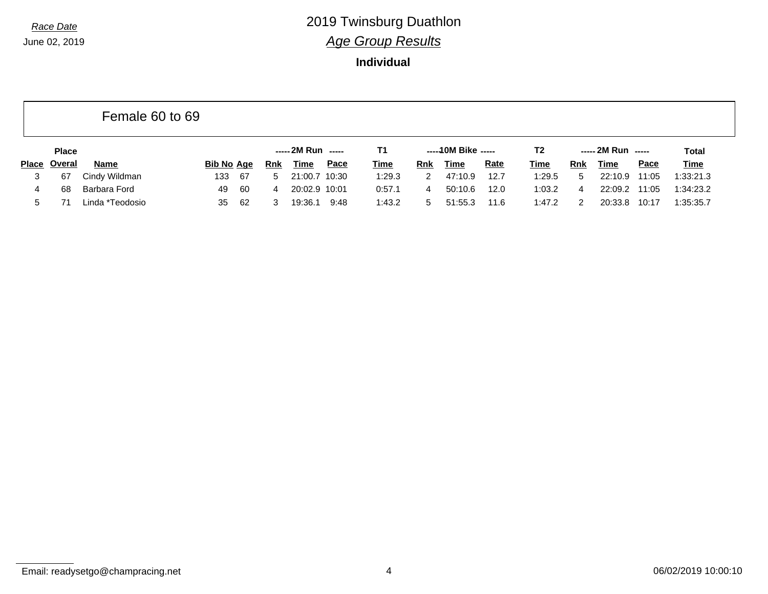### **Individual**

|              |               | Female 60 to 69 |                   |      |            |                    |      |             |     |                     |             |             |            |                    |             |              |
|--------------|---------------|-----------------|-------------------|------|------------|--------------------|------|-------------|-----|---------------------|-------------|-------------|------------|--------------------|-------------|--------------|
|              | <b>Place</b>  |                 |                   |      |            | ----- 2M Run ----- |      | T1          |     | $---10M$ Bike $---$ |             | T2          |            | ----- 2M Run ----- |             | <b>Total</b> |
| <b>Place</b> | <b>Overal</b> | <b>Name</b>     | <b>Bib No Age</b> |      | <b>Rnk</b> | <u>Time</u>        | Pace | <u>Time</u> | Rnk | Time                | <b>Rate</b> | <u>Time</u> | <b>Rnk</b> | Time               | <b>Pace</b> | <b>Time</b>  |
| 3            | 67            | Cindy Wildman   | 133               | - 67 | $5 -$      | 21:00.7 10:30      |      | 1:29.3      | 2   | 47:10.9             | 12.7        | 1:29.5      | 5          | 22:10.9            | 11:05       | 1:33:21.3    |
|              | 68            | Barbara Ford    | 49                | -60  | 4          | 20:02.9 10:01      |      | 0:57.1      |     | 50:10.6             | 12.0        | 1:03.2      | 4          | 22:09.2            | 11:05       | 1:34:23.2    |
| 5            |               | Linda *Teodosio | 35                | -62  | 3          | 19:36.1            | 9:48 | 1:43.2      | 5.  | 51:55.3             | 11.6        | 1:47.2      | 2          | 20:33.8            | 10:17       | 1:35:35.7    |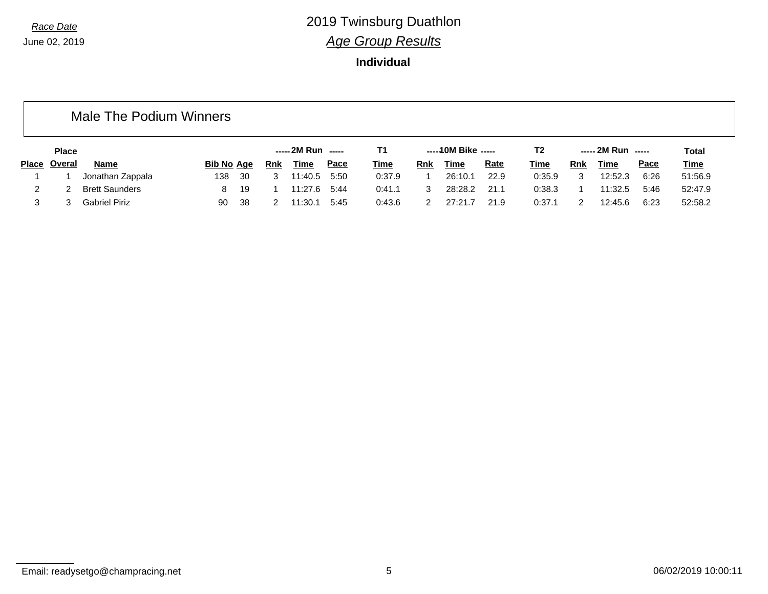### **Individual**

### Male The Podium Winners

|       | <b>Place</b><br><b>Bib No Age</b> |                       |     |    | ----- 2M Run ----- |             |             |             | -----10M Bike ----- |             | T2          |        | ----- 2M Run ----- |         | Total       |             |
|-------|-----------------------------------|-----------------------|-----|----|--------------------|-------------|-------------|-------------|---------------------|-------------|-------------|--------|--------------------|---------|-------------|-------------|
| Place | Overal                            | <b>Name</b>           |     |    | <u>Rnk</u>         | <b>Time</b> | <u>Pace</u> | <b>Time</b> | Rnk                 | <b>Time</b> | <b>Rate</b> | Time   | <b>Rnk</b>         | Time    | <u>Pace</u> | <b>Time</b> |
|       |                                   | Jonathan Zappala      | 138 | 30 |                    | 11:40.5     | 5:50        | 0:37.9      |                     | 26:10.1     | 22.9        | 0:35.9 | ◠                  | 12:52.3 | 6:26        | 51:56.9     |
|       |                                   | <b>Brett Saunders</b> |     | 19 |                    | 11:27.6     | 5:44        | 0:41.1      |                     | 28:28.2     | 21.1        | 0:38.3 |                    | 11:32.5 | 5:46        | 52:47.9     |
|       |                                   | <b>Gabriel Piriz</b>  | 90  | 38 |                    | 11:30.1     | 5:45        | 0:43.6      |                     | 27:21.      | 21.9        | 0:37.1 |                    | 12:45.6 | 6:23        | 52:58.2     |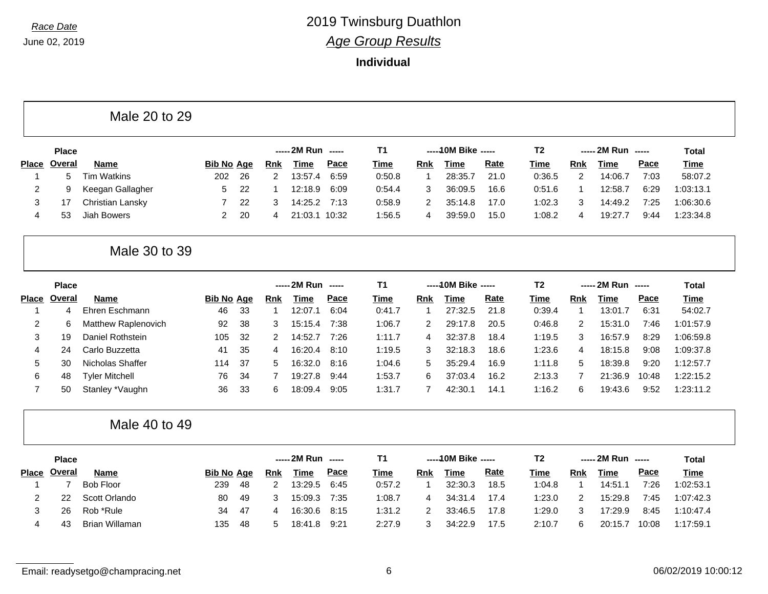### **Individual**

Male 20 to 29

|              | <b>Place</b> |                  |                   |      |     | ----- 2M Run ----- |             | Τ1          |     | $---10M$ Bike $---$ |             | Τ2          |     | $--- 2M Run$ $---$ |             | Total       |
|--------------|--------------|------------------|-------------------|------|-----|--------------------|-------------|-------------|-----|---------------------|-------------|-------------|-----|--------------------|-------------|-------------|
| <b>Place</b> | Overal       | <b>Name</b>      | <b>Bib No Age</b> |      | Rnk | Time               | <u>Pace</u> | <u>Time</u> | Rnk | Time                | <u>Rate</u> | <u>Time</u> | Rnk | Time               | <u>Pace</u> | <b>Time</b> |
|              | 5            | Tim Watkins      | 202               | - 26 |     | 13:57.4            | 6:59        | 0:50.8      |     | 28:35.              | 21.0        | 0:36.5      |     | 14:06.7            | 7:03        | 58:07.2     |
|              |              | Keegan Gallagher |                   | -22  |     | 12:18.9            | 6:09        | 0:54.4      |     | 36:09.5             | 16.6        | 0:51.6      |     | 12:58.7            | 6:29        | 1:03:13.1   |
|              |              | Christian Lansky |                   | 22   |     | 14:25.2            | 7:13        | 0:58.9      |     | 35:14.8             | 17.0        | 1:02.3      | 3   | 14:49.2            | 7:25        | 1:06:30.6   |
| 4            | 53           | Jiah Bowers      |                   | 20   |     | 21:03.1            | 10:32       | 1:56.5      |     | 39:59.0             | 15.0        | 1:08.2      | 4   | 19:27.7            | 9:44        | 1:23:34.8   |

### Male 30 to 39

|              | <b>Place</b> |                       |                   |     |     | $--- 2M Run$ $---$ |      | Τ1     |     | ----- 10M Bike ----- |      | T2     |     | $--- 2M Run$ $---$ |       | Total       |
|--------------|--------------|-----------------------|-------------------|-----|-----|--------------------|------|--------|-----|----------------------|------|--------|-----|--------------------|-------|-------------|
| <b>Place</b> | Overal       | <b>Name</b>           | <b>Bib No Age</b> |     | Rnk | Time               | Pace | Time   | Rnk | Time                 | Rate | Time   | Rnk | Time               | Pace  | <b>Time</b> |
|              |              | Ehren Eschmann        | 46                | -33 |     | 12:07.1            | 6:04 | 0:41.7 |     | 27:32.5              | 21.8 | 0:39.4 |     | 13:01.7            | 6:31  | 54:02.7     |
| 2            | 6            | Matthew Raplenovich   | 92                | -38 | 3   | 15:15.4            | 7:38 | 1:06.7 |     | 29:17.8              | 20.5 | 0:46.8 | 2   | 15:31.0            | 7:46  | 1:01:57.9   |
|              | 19           | Daniel Rothstein      | 105               | -32 |     | 14:52.7            | 7:26 | 1:11.7 |     | 32:37.8              | 18.4 | 1:19.5 | 3   | 16:57.9            | 8:29  | 1:06:59.8   |
| 4            | 24           | Carlo Buzzetta        | 41                | 35  | 4   | 16:20.4            | 8:10 | 1:19.5 | 3   | 32:18.3              | 18.6 | 1:23.6 | 4   | 18:15.8            | 9:08  | 1:09:37.8   |
| $5^{\circ}$  | 30           | Nicholas Shaffer      | 114               | -37 | 5.  | 16:32.0            | 8:16 | 1:04.6 | 5   | 35:29.4              | 16.9 | 1:11.8 | 5.  | 18:39.8            | 9:20  | 1:12:57.7   |
| 6            | 48           | <b>Tyler Mitchell</b> | 76                | 34  |     | 19:27.8            | 9:44 | 1:53.7 | 6   | 37:03.4              | 16.2 | 2:13.3 |     | 21:36.9            | 10:48 | 1:22:15.2   |
|              | 50           | Stanley *Vaughn       | 36                | -33 | 6   | 18:09.4            | 9:05 | 1:31.7 |     | 42:30.1              | 14.1 | 1:16.2 | 6   | 19:43.6            | 9:52  | 1:23:11.2   |

Male 40 to 49

|              | <b>Place</b> |                  |                   |      |     | ----- 2M Run | ------      | Τ1          |     | -----10M Bike ----- |             | Τ2     | $--- 2M Run$ $---$ |         |             | Total       |
|--------------|--------------|------------------|-------------------|------|-----|--------------|-------------|-------------|-----|---------------------|-------------|--------|--------------------|---------|-------------|-------------|
| <b>Place</b> | Overal       | Name             | <b>Bib No Age</b> |      | Rnk | Time         | <u>Pace</u> | <u>Time</u> | Rnk | Time                | <u>Rate</u> | Time   | Rnk                | Time    | <u>Pace</u> | <b>Time</b> |
|              |              | <b>Bob Floor</b> | 239               | -48  |     | 13:29.5      | 6:45        | 0:57.2      |     | 32:30.3             | 18.5        | 1:04.8 |                    | 14:51.1 | 7:26        | 1:02:53.1   |
|              | 22           | Scott Orlando    | 80                | -49  |     | 15:09.3      | 7:35        | 1:08.7      |     | 34:31.4             | 17.4        | 1:23.0 | っ                  | 15:29.8 | 7:45        | 1:07:42.3   |
|              | 26           | Rob *Rule        | 34                | - 47 |     | 16:30.6      | 8:15        | 1:31.2      |     | 33:46.5             | 17.8        | 1:29.0 | 3                  | 17:29.9 | 8:45        | 1:10:47.4   |
| 4            | 43           | Brian Willaman   | 135               | -48  | h.  | 18:41.8      | 9:21        | 2:27.9      |     | 34:22.9             | 17.5        | 2:10.7 | 6                  | 20:15.7 | 10:08       | 1:17:59.1   |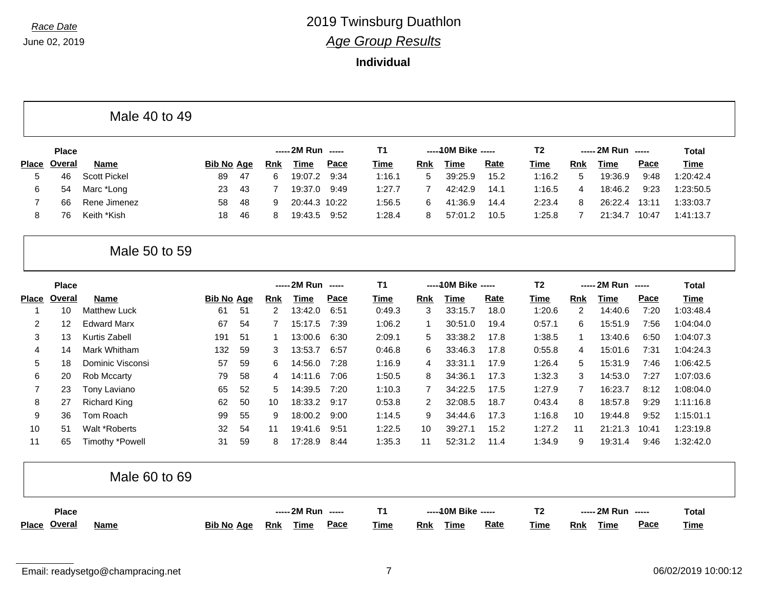#### **Individual**

|  | Male 40 to 49 |  |  |  |  |
|--|---------------|--|--|--|--|
|--|---------------|--|--|--|--|

|              | <b>Place</b> |                     |                   |      |            | $--- 2M Run$ $---$ | Τ1          | -----10M Bike ----- |     |         | T2          | $--- 2M Run$ $---$ |     |         | Total       |             |
|--------------|--------------|---------------------|-------------------|------|------------|--------------------|-------------|---------------------|-----|---------|-------------|--------------------|-----|---------|-------------|-------------|
| <b>Place</b> | Overal       | Name                | <b>Bib No Age</b> |      | <b>Rnk</b> | <u>Time</u>        | <u>Pace</u> | Time                | Rnk | Time    | <u>Rate</u> | Time               | Rnk | Time    | <u>Pace</u> | <u>Time</u> |
|              | 46           | <b>Scott Pickel</b> | 89                | - 47 |            | 19:07.2            | 9:34        | 1:16.1              | 5   | 39:25.9 | 15.2        | 1:16.2             | 5   | 19:36.9 | 9:48        | 1:20:42.4   |
| 6.           | 54           | Marc *Long          | 23                | -43  |            | 19:37.0            | 9:49        | 1:27.7              |     | 42:42.9 | 14.1        | 1:16.5             | 4   | 18:46.2 | 9:23        | 1:23:50.5   |
|              | 66           | Rene Jimenez        | 58                | -48  |            | 20:44.3 10:22      |             | 1:56.5              | 6   | 41:36.9 | 14.4        | 2:23.4             | 8   | 26:22.4 | 13:11       | 1:33:03.7   |
| 8.           | 76           | Keith *Kish         | 18                | -46  |            | 19:43.5            | 9:52        | 1:28.4              | 8   | 57:01.2 | 10.5        | 1:25.8             |     | 21:34.7 | 10:47       | 1:41:13.7   |

### Male 50 to 59

|       | <b>Place</b>      |                     |                   |    |     | ----- 2M Run<br>------ |      | <b>T1</b> | ----- 10M Bike ----- |         | T <sub>2</sub> | ----- 2M Run |            | Total<br>------ |       |           |
|-------|-------------------|---------------------|-------------------|----|-----|------------------------|------|-----------|----------------------|---------|----------------|--------------|------------|-----------------|-------|-----------|
| Place | Overal            | <b>Name</b>         | <b>Bib No Age</b> |    | Rnk | Time                   | Pace | Time      | <b>Rnk</b>           | Time    | Rate           | Time         | <b>Rnk</b> | Time            | Pace  | Time      |
|       | 10                | <b>Matthew Luck</b> | 61                | 51 | 2   | 13:42.0                | 6:51 | 0:49.3    | 3                    | 33:15.7 | 18.0           | 1:20.6       | 2          | 14:40.6         | 7:20  | 1:03:48.4 |
| 2     | $12 \overline{ }$ | <b>Edward Marx</b>  | 67                | 54 |     | 15:17.5                | 7:39 | 1:06.2    |                      | 30:51.0 | 19.4           | 0:57.1       | 6          | 15:51.9         | 7:56  | 1:04:04.0 |
| 3     | 13                | Kurtis Zabell       | 191               | 51 |     | 13:00.6                | 6:30 | 2:09.1    | 5.                   | 33:38.2 | 17.8           | 1:38.5       |            | 13:40.6         | 6:50  | 1:04:07.3 |
| 4     | 14                | Mark Whitham        | 132               | 59 | 3   | 13:53.7                | 6:57 | 0:46.8    | 6                    | 33:46.3 | 17.8           | 0:55.8       | 4          | 15:01.6         | 7:31  | 1:04:24.3 |
| 5     | 18                | Dominic Visconsi    | 57                | 59 | 6.  | 14:56.0                | 7:28 | 1:16.9    | 4                    | 33:31.1 | 17.9           | 1:26.4       | 5          | 15:31.9         | 7:46  | 1:06:42.5 |
| 6     | 20                | Rob Mccarty         | 79                | 58 | 4   | 14:11.6                | 7:06 | 1:50.5    | 8                    | 34:36.1 | 17.3           | 1:32.3       | 3          | 14:53.0         | 7:27  | 1:07:03.6 |
|       | 23                | Tony Laviano        | 65                | 52 | 5.  | 14:39.5                | 7:20 | 1:10.3    |                      | 34:22.5 | 17.5           | 1:27.9       |            | 16:23.7         | 8:12  | 1:08:04.0 |
| 8     | 27                | Richard King        | 62                | 50 | 10  | 18:33.2                | 9:17 | 0:53.8    | 2                    | 32:08.5 | 18.7           | 0:43.4       | 8          | 18:57.8         | 9:29  | 1:11:16.8 |
| 9     | 36                | Tom Roach           | 99                | 55 | 9   | 18:00.2                | 9:00 | 1:14.5    | 9                    | 34:44.6 | 17.3           | 1:16.8       | 10         | 19:44.8         | 9:52  | 1:15:01.1 |
| 10    | 51                | Walt *Roberts       | 32                | 54 | 11  | 19:41.6                | 9:51 | 1:22.5    | 10                   | 39:27.1 | 15.2           | 1:27.2       | 11         | 21:21.3         | 10:41 | 1:23:19.8 |
| 11    | 65                | Timothy *Powell     | 31                | 59 | 8   | 17:28.9                | 8:44 | 1:35.3    | 11                   | 52:31.2 | 11.4           | 1:34.9       | 9          | 19:31.4         | 9:46  | 1:32:42.0 |

|                     | Male 60 to 69 |                   |                           |                            |                                          |                |                                          |              |
|---------------------|---------------|-------------------|---------------------------|----------------------------|------------------------------------------|----------------|------------------------------------------|--------------|
| <b>Place</b>        |               |                   | ----- 2M Run -----        |                            | -----10M Bike -----                      | T <sub>2</sub> | ----- 2M Run   -----                     | <b>Total</b> |
| <u>Place</u> Overal | <b>Name</b>   | <b>Bib No Age</b> | <u>Rnk</u><br><u>Time</u> | <b>Pace</b><br><b>Time</b> | <b>Rate</b><br><u>Time</u><br><b>Rnk</b> | <u>Time</u>    | <b>Pace</b><br><b>Time</b><br><u>Rnk</u> | <b>Time</b>  |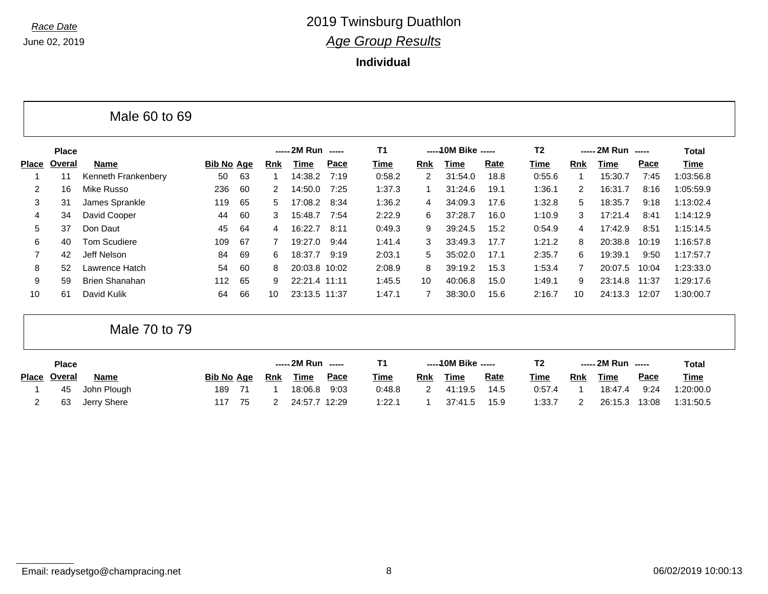**Individual**

|                |              | Male 60 to 69         |                   |    |     |                    |      |        |     |                     |      |                |                |                    |       |              |  |
|----------------|--------------|-----------------------|-------------------|----|-----|--------------------|------|--------|-----|---------------------|------|----------------|----------------|--------------------|-------|--------------|--|
|                | <b>Place</b> |                       |                   |    |     | ----- 2M Run ----- |      | T1     |     | $---10M$ Bike $---$ |      | T <sub>2</sub> |                | ----- 2M Run ----- |       | <b>Total</b> |  |
| <b>Place</b>   | Overal       | <b>Name</b>           | <b>Bib No Age</b> |    | Rnk | Time               | Pace | Time   | Rnk | Time                | Rate | Time           | <b>Rnk</b>     | Time               | Pace  | Time         |  |
|                | 11           | Kenneth Frankenbery   | 50                | 63 |     | 14:38.2            | 7:19 | 0:58.2 | 2   | 31:54.0             | 18.8 | 0:55.6         |                | 15:30.7            | 7:45  | 1:03:56.8    |  |
| $\overline{2}$ | 16           | Mike Russo            | 236               | 60 | 2   | 14:50.0            | 7:25 | 1:37.3 |     | 31:24.6             | 19.1 | 1:36.1         | $\overline{2}$ | 16:31.7            | 8:16  | 1:05:59.9    |  |
| 3              | 31           | James Sprankle        | 119               | 65 | 5.  | 17:08.2            | 8:34 | 1:36.2 | 4   | 34:09.3             | 17.6 | 1:32.8         | 5              | 18:35.7            | 9:18  | 1:13:02.4    |  |
| 4              | 34           | David Cooper          | 44                | 60 | 3   | 15:48.7            | 7:54 | 2:22.9 | 6   | 37:28.7             | 16.0 | 1:10.9         | 3              | 17:21.4            | 8:41  | 1:14:12.9    |  |
| 5              | 37           | Don Daut              | 45                | 64 | 4   | 16:22.7            | 8:11 | 0:49.3 | 9   | 39:24.5             | 15.2 | 0:54.9         | 4              | 17:42.9            | 8:51  | 1:15:14.5    |  |
| 6              | 40           | <b>Tom Scudiere</b>   | 109               | 67 |     | 19:27.0            | 9:44 | 1:41.4 | 3   | 33:49.3             | 17.7 | 1:21.2         | 8              | 20:38.8            | 10:19 | 1:16:57.8    |  |
| $\overline{7}$ | 42           | Jeff Nelson           | 84                | 69 | 6.  | 18:37.7            | 9:19 | 2:03.1 | 5   | 35:02.0             | 17.1 | 2:35.7         | 6              | 19:39.1            | 9:50  | 1:17:57.7    |  |
| 8              | 52           | Lawrence Hatch        | 54                | 60 | 8   | 20:03.8 10:02      |      | 2:08.9 | 8   | 39:19.2             | 15.3 | 1:53.4         | $\overline{7}$ | 20:07.5            | 10:04 | 1:23:33.0    |  |
| 9              | 59           | <b>Brien Shanahan</b> | 112               | 65 | 9   | 22:21.4 11:11      |      | 1:45.5 | 10  | 40:06.8             | 15.0 | 1:49.1         | 9              | 23:14.8            | 11:37 | 1:29:17.6    |  |
| 10             | 61           | David Kulik           | 64                | 66 | 10  | 23:13.5 11:37      |      | 1:47.1 |     | 38:30.0             | 15.6 | 2:16.7         | 10             | 24:13.3            | 12:07 | 1:30:00.7    |  |

Male 70 to 79

| <b>Place</b> |             |                   |    | ----- 2M Run ----- |               |             | -----10M Bike ----- |     |         |             | ----- 2M Run ----- |            |         | <b>Total</b> |             |
|--------------|-------------|-------------------|----|--------------------|---------------|-------------|---------------------|-----|---------|-------------|--------------------|------------|---------|--------------|-------------|
| Place Overal | <b>Name</b> | <b>Bib No Age</b> |    | Rnk                | Time          | <u>Pace</u> | Time                | Rnk | Time    | <u>Rate</u> | Time               | <b>Rnk</b> | Time    | <u>Pace</u>  | <b>Time</b> |
| 45           | John Plough | 189               |    |                    | 18:06.8       | 9:03        | 0:48.8              |     | 41:19.5 | 14.5        | 0:57.4             |            | 18:47.4 | 9:24         | 1:20:00.0   |
| 63           | Jerry Shere | 117               | 75 |                    | 24:57.7 12:29 |             | 1:22.1              |     | 37:41.5 | 15.9        | 1:33.7             |            | 26:15.3 | 13:08        | 1:31:50.5   |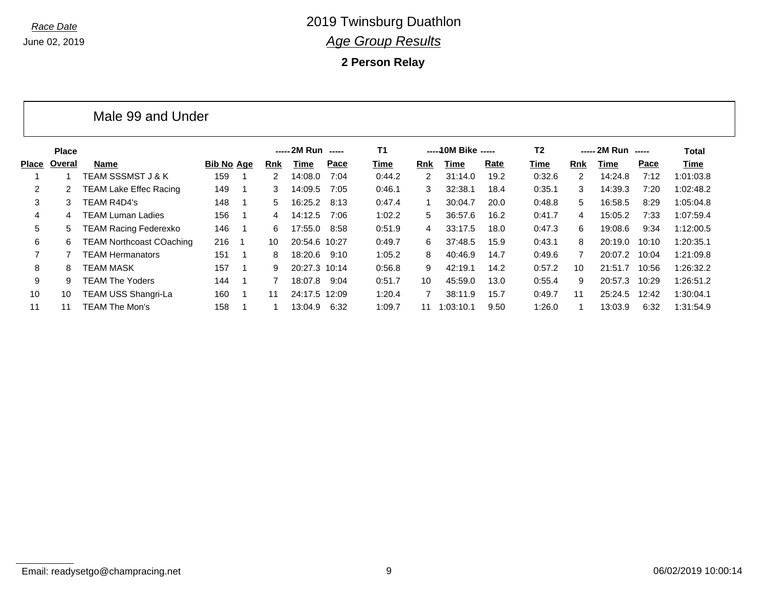Male 99 and Under

### *Race Date* 2019 Twinsburg Duathlon *Age Group Results*

**2 Person Relay**

|       | <b>Place</b> |                                 |            |                |     | ----- 2M Run ----- |      | <b>T1</b> |            | ----- 10M Bike ----- |      | T <sub>2</sub> |            | ----- 2M Run | $---$ | Total     |
|-------|--------------|---------------------------------|------------|----------------|-----|--------------------|------|-----------|------------|----------------------|------|----------------|------------|--------------|-------|-----------|
| Place | Overal       | <b>Name</b>                     | Bib No Age |                | Rnk | Time               | Pace | Time      | <b>Rnk</b> | Time                 | Rate | Time           | <b>Rnk</b> | Time         | Pace  | Time      |
|       |              | TEAM SSSMST J & K               | 159        |                | 2   | 14:08.0            | 7:04 | 0:44.2    | 2          | 31:14.0              | 19.2 | 0:32.6         | 2          | 14:24.8      | 7:12  | 1:01:03.8 |
| 2     |              | TEAM Lake Effec Racing          | 149        |                | 3   | 14:09.5            | 7:05 | 0:46.1    | 3          | 32:38.1              | 18.4 | 0:35.1         | 3          | 14:39.3      | 7:20  | 1:02:48.2 |
| 3     | 3            | TEAM R4D4's                     | 148        |                | 5.  | 16:25.2            | 8:13 | 0:47.4    |            | 30:04.7              | 20.0 | 0:48.8         | 5          | 16:58.5      | 8:29  | 1:05:04.8 |
| 4     | 4            | TEAM Luman Ladies               | 156        |                | 4   | 14:12.5            | 7:06 | 1:02.2    | 5          | 36:57.6              | 16.2 | 0:41.7         | 4          | 15:05.2      | 7:33  | 1:07:59.4 |
| 5     |              | TEAM Racing Federexko           | 146        |                | 6   | 17:55.0            | 8:58 | 0:51.9    | 4          | 33:17.5              | 18.0 | 0:47.3         | 6          | 19:08.6      | 9:34  | 1:12:00.5 |
| 6     | 6            | <b>TEAM Northcoast COaching</b> | 216        | $\overline{1}$ | 10  | 20:54.6 10:27      |      | 0:49.7    | 6          | 37:48.5              | 15.9 | 0:43.1         | 8          | 20:19.0      | 10:10 | 1:20:35.1 |
|       |              | TEAM Hermanators                | 151        |                | 8   | 18:20.6            | 9:10 | 1:05.2    | 8          | 40:46.9              | 14.7 | 0:49.6         | 7          | 20:07.2      | 10:04 | 1:21:09.8 |
| 8     | 8            | TEAM MASK                       | 157        |                | 9   | 20:27.3 10:14      |      | 0:56.8    | 9          | 42:19.1              | 14.2 | 0:57.2         | 10         | 21:51.7      | 10:56 | 1:26:32.2 |
| 9     | 9            | TEAM The Yoders                 | 144        |                |     | 18:07.8            | 9:04 | 0:51.7    | 10         | 45:59.0              | 13.0 | 0:55.4         | 9          | 20:57.3      | 10:29 | 1:26:51.2 |
| 10    | 10           | <b>TEAM USS Shangri-La</b>      | 160        |                | 11  | 24:17.5 12:09      |      | 1:20.4    |            | 38:11.9              | 15.7 | 0:49.7         | 11         | 25:24.5      | 12:42 | 1:30:04.1 |
| 11    | 11           | TEAM The Mon's                  | 158        |                |     | 13:04.9            | 6:32 | 1:09.7    | 11         | 1:03:10.1            | 9.50 | 1:26.0         |            | 13:03.9      | 6:32  | 1:31:54.9 |

Email: readysetgo@champracing.net example and the state of the state of 9 06/02/2019 10:00:14